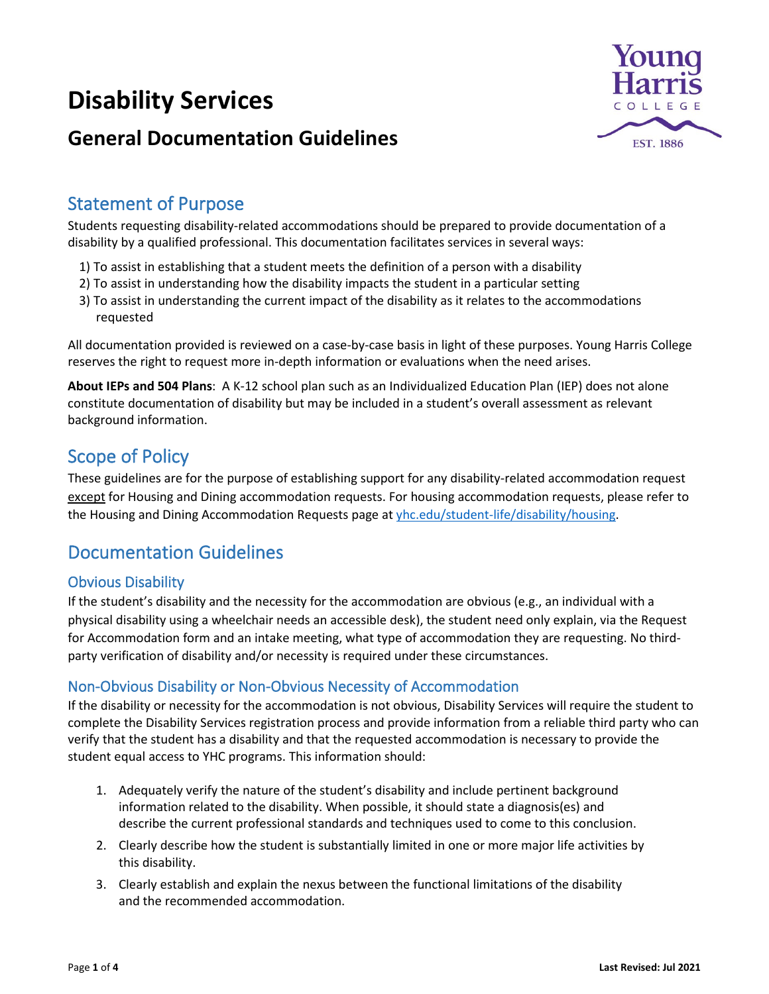# **Disability Services**

# **General Documentation Guidelines**



### Statement of Purpose

Students requesting disability-related accommodations should be prepared to provide documentation of a disability by a qualified professional. This documentation facilitates services in several ways:

- 1) To assist in establishing that a student meets the definition of a person with a disability
- 2) To assist in understanding how the disability impacts the student in a particular setting
- 3) To assist in understanding the current impact of the disability as it relates to the accommodations requested

All documentation provided is reviewed on a case-by-case basis in light of these purposes. Young Harris College reserves the right to request more in-depth information or evaluations when the need arises.

**About IEPs and 504 Plans**: A K-12 school plan such as an Individualized Education Plan (IEP) does not alone constitute documentation of disability but may be included in a student's overall assessment as relevant background information.

### Scope of Policy

These guidelines are for the purpose of establishing support for any disability-related accommodation request except for Housing and Dining accommodation requests. For housing accommodation requests, please refer to the Housing and Dining Accommodation Requests page a[t yhc.edu/student-life/disability/housing.](https://www.yhc.edu/student-life/disability/housing)

# Documentation Guidelines

#### Obvious Disability

If the student's disability and the necessity for the accommodation are obvious (e.g., an individual with a physical disability using a wheelchair needs an accessible desk), the student need only explain, via the Request for Accommodation form and an intake meeting, what type of accommodation they are requesting. No thirdparty verification of disability and/or necessity is required under these circumstances.

#### Non-Obvious Disability or Non-Obvious Necessity of Accommodation

If the disability or necessity for the accommodation is not obvious, Disability Services will require the student to complete the Disability Services registration process and provide information from a reliable third party who can verify that the student has a disability and that the requested accommodation is necessary to provide the student equal access to YHC programs. This information should:

- 1. Adequately verify the nature of the student's disability and include pertinent background information related to the disability. When possible, it should state a diagnosis(es) and describe the current professional standards and techniques used to come to this conclusion.
- 2. Clearly describe how the student is substantially limited in one or more major life activities by this disability.
- 3. Clearly establish and explain the nexus between the functional limitations of the disability and the recommended accommodation.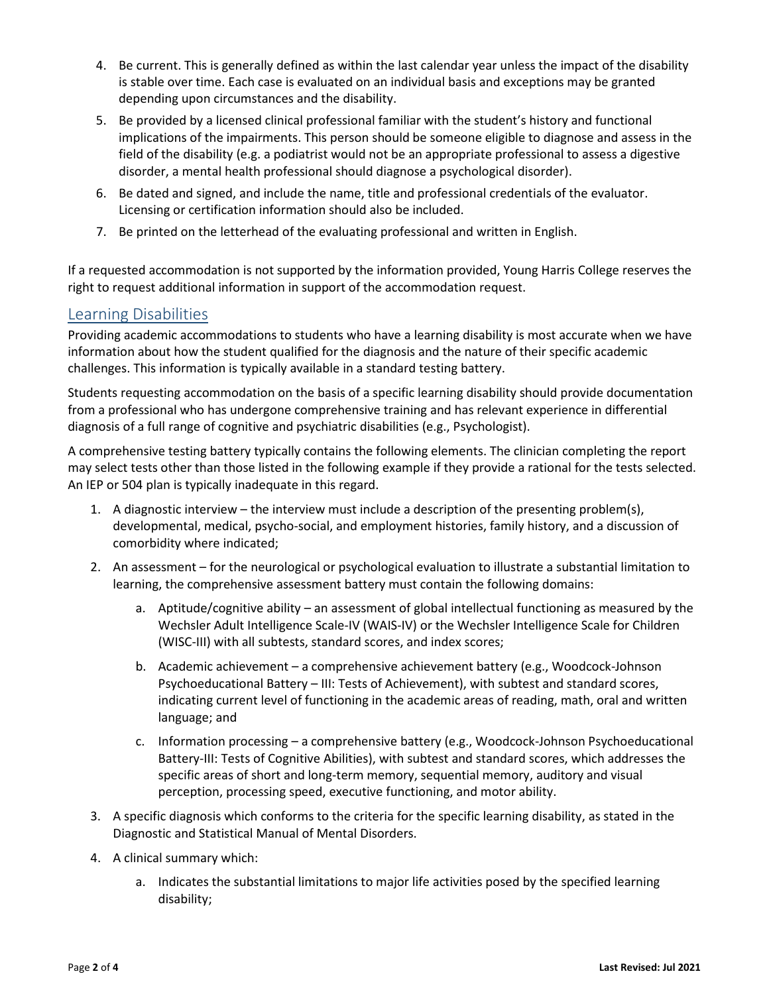- 4. Be current. This is generally defined as within the last calendar year unless the impact of the disability is stable over time. Each case is evaluated on an individual basis and exceptions may be granted depending upon circumstances and the disability.
- 5. Be provided by a licensed clinical professional familiar with the student's history and functional implications of the impairments. This person should be someone eligible to diagnose and assess in the field of the disability (e.g. a podiatrist would not be an appropriate professional to assess a digestive disorder, a mental health professional should diagnose a psychological disorder).
- 6. Be dated and signed, and include the name, title and professional credentials of the evaluator. Licensing or certification information should also be included.
- 7. Be printed on the letterhead of the evaluating professional and written in English.

If a requested accommodation is not supported by the information provided, Young Harris College reserves the right to request additional information in support of the accommodation request.

#### Learning Disabilities

Providing academic accommodations to students who have a learning disability is most accurate when we have information about how the student qualified for the diagnosis and the nature of their specific academic challenges. This information is typically available in a standard testing battery.

Students requesting accommodation on the basis of a specific learning disability should provide documentation from a professional who has undergone comprehensive training and has relevant experience in differential diagnosis of a full range of cognitive and psychiatric disabilities (e.g., Psychologist).

A comprehensive testing battery typically contains the following elements. The clinician completing the report may select tests other than those listed in the following example if they provide a rational for the tests selected. An IEP or 504 plan is typically inadequate in this regard.

- 1. A diagnostic interview the interview must include a description of the presenting problem(s), developmental, medical, psycho-social, and employment histories, family history, and a discussion of comorbidity where indicated;
- 2. An assessment for the neurological or psychological evaluation to illustrate a substantial limitation to learning, the comprehensive assessment battery must contain the following domains:
	- a. Aptitude/cognitive ability an assessment of global intellectual functioning as measured by the Wechsler Adult Intelligence Scale-IV (WAIS-IV) or the Wechsler Intelligence Scale for Children (WISC-III) with all subtests, standard scores, and index scores;
	- b. Academic achievement a comprehensive achievement battery (e.g., Woodcock-Johnson Psychoeducational Battery – III: Tests of Achievement), with subtest and standard scores, indicating current level of functioning in the academic areas of reading, math, oral and written language; and
	- c. Information processing a comprehensive battery (e.g., Woodcock-Johnson Psychoeducational Battery-III: Tests of Cognitive Abilities), with subtest and standard scores, which addresses the specific areas of short and long-term memory, sequential memory, auditory and visual perception, processing speed, executive functioning, and motor ability.
- 3. A specific diagnosis which conforms to the criteria for the specific learning disability, as stated in the Diagnostic and Statistical Manual of Mental Disorders.
- 4. A clinical summary which:
	- a. Indicates the substantial limitations to major life activities posed by the specified learning disability;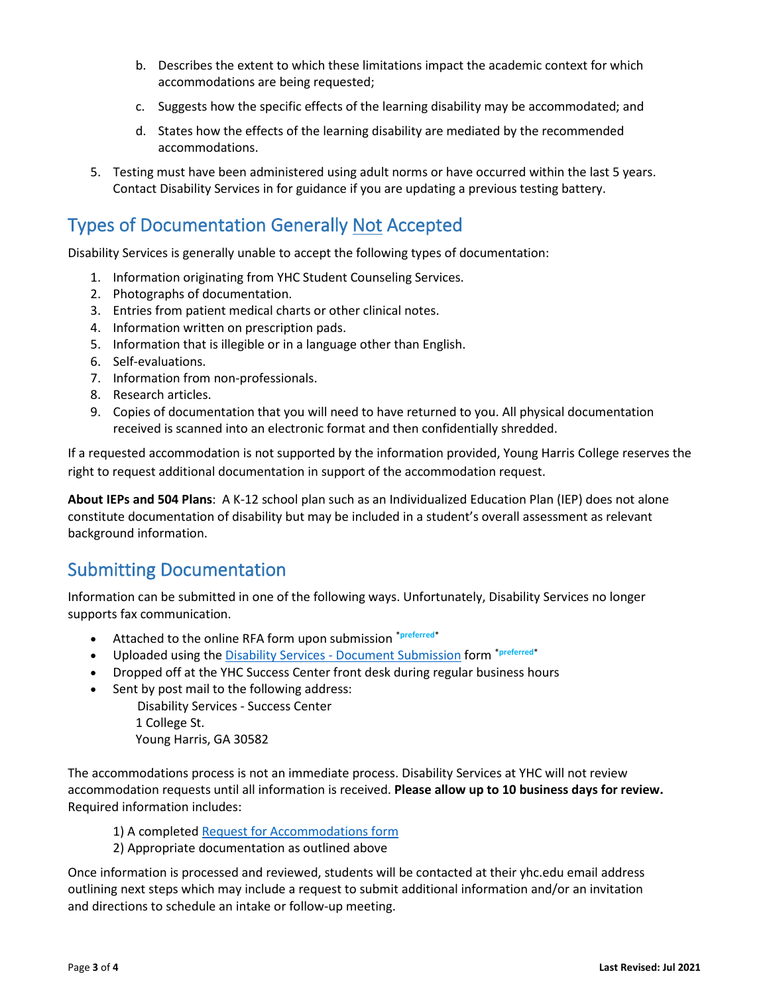- b. Describes the extent to which these limitations impact the academic context for which accommodations are being requested;
- c. Suggests how the specific effects of the learning disability may be accommodated; and
- d. States how the effects of the learning disability are mediated by the recommended accommodations.
- 5. Testing must have been administered using adult norms or have occurred within the last 5 years. Contact Disability Services in for guidance if you are updating a previous testing battery.

# Types of Documentation Generally Not Accepted

Disability Services is generally unable to accept the following types of documentation:

- 1. Information originating from YHC Student Counseling Services.
- 2. Photographs of documentation.
- 3. Entries from patient medical charts or other clinical notes.
- 4. Information written on prescription pads.
- 5. Information that is illegible or in a language other than English.
- 6. Self-evaluations.
- 7. Information from non-professionals.
- 8. Research articles.
- 9. Copies of documentation that you will need to have returned to you. All physical documentation received is scanned into an electronic format and then confidentially shredded.

If a requested accommodation is not supported by the information provided, Young Harris College reserves the right to request additional documentation in support of the accommodation request.

**About IEPs and 504 Plans**: A K-12 school plan such as an Individualized Education Plan (IEP) does not alone constitute documentation of disability but may be included in a student's overall assessment as relevant background information.

### Submitting Documentation

Information can be submitted in one of the following ways. Unfortunately, Disability Services no longer supports fax communication.

- Attached to the online RFA form upon submission \***preferred**\*
- Uploaded using the Disability Services [Document Submission](https://nam11.safelinks.protection.outlook.com/?url=https%3A%2F%2Fforms.office.com%2FPages%2FResponsePage.aspx%3Fid%3DY-h5E4pAdEubJyoUtO5aB4lKv337uOJFkIz_uncGtEtUNEVWWkFSNUY0Q0ZFREc5MkhGWDVMREcxQy4u&data=04%7C01%7Cmslaughter%40yhc.edu%7Cb39707e5c3c54e82ee7b08d8b1b01883%7C1379e863408a4b749b272a14b4ee5a07%7C1%7C0%7C637454717286015838%7CUnknown%7CTWFpbGZsb3d8eyJWIjoiMC4wLjAwMDAiLCJQIjoiV2luMzIiLCJBTiI6Ik1haWwiLCJXVCI6Mn0%3D%7C1000&sdata=2t%2FH4GC9FjQpnPTHKR3ehqpOnyUpfiBZSCyEpiN%2Btik%3D&reserved=0) form \***preferred**\*
- Dropped off at the YHC Success Center front desk during regular business hours
- Sent by post mail to the following address:

 Disability Services - Success Center 1 College St. Young Harris, GA 30582

The accommodations process is not an immediate process. Disability Services at YHC will not review accommodation requests until all information is received. **Please allow up to 10 business days for review.** Required information includes:

- 1) A complete[d Request for Accommodations form](https://studentyhc.sharepoint.com/campus-services/Pages/DisabilityServices.aspx)
- 2) Appropriate documentation as outlined above

Once information is processed and reviewed, students will be contacted at their yhc.edu email address outlining next steps which may include a request to submit additional information and/or an invitation and directions to schedule an intake or follow-up meeting.